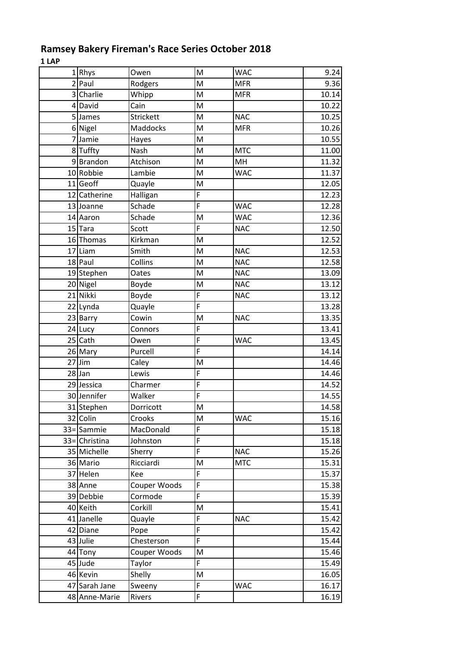## **Ramsey Bakery Fireman's Race Series October 2018**

**1 LAP**

| 1 Rhys         | Owen             | M              | <b>WAC</b> | 9.24  |
|----------------|------------------|----------------|------------|-------|
| $2$  Paul      | Rodgers          | M              | <b>MFR</b> | 9.36  |
| 3 Charlie      | Whipp            | M              | <b>MFR</b> | 10.14 |
| 4 David        | Cain             | M              |            | 10.22 |
| 5 James        | <b>Strickett</b> | M              | <b>NAC</b> | 10.25 |
| 6 Nigel        | Maddocks         | M              | <b>MFR</b> | 10.26 |
| 7 Jamie        | Hayes            | M              |            | 10.55 |
| 8 Tuffty       | Nash             | M              | <b>MTC</b> | 11.00 |
| 9Brandon       | Atchison         | M              | MH         | 11.32 |
| 10 Robbie      | Lambie           | M              | <b>WAC</b> | 11.37 |
| 11 Geoff       | Quayle           | M              |            | 12.05 |
| 12 Catherine   | Halligan         | F              |            | 12.23 |
| 13 Joanne      | Schade           | F              | <b>WAC</b> | 12.28 |
| 14 Aaron       | Schade           | M              | <b>WAC</b> | 12.36 |
| 15 Tara        | Scott            | F              | <b>NAC</b> | 12.50 |
| 16 Thomas      | Kirkman          | M              |            | 12.52 |
| 17 Liam        | Smith            | M              | <b>NAC</b> | 12.53 |
| 18 Paul        | Collins          | M              | <b>NAC</b> | 12.58 |
| 19 Stephen     | Oates            | M              | <b>NAC</b> | 13.09 |
| 20 Nigel       | Boyde            | M              | <b>NAC</b> | 13.12 |
| 21 Nikki       | Boyde            | F              | <b>NAC</b> | 13.12 |
| 22 Lynda       | Quayle           | F              |            | 13.28 |
| 23 Barry       | Cowin            | M              | <b>NAC</b> | 13.35 |
| 24 Lucy        | Connors          | F              |            | 13.41 |
| 25 Cath        | Owen             | F              | <b>WAC</b> | 13.45 |
| 26 Mary        | Purcell          | F              |            | 14.14 |
| $27$ Jim       | Caley            | M              |            | 14.46 |
| $28$ Jan       | Lewis            | F              |            | 14.46 |
| 29 Jessica     | Charmer          | F              |            | 14.52 |
| 30 Jennifer    | Walker           | F              |            | 14.55 |
| 31 Stephen     | Dorricott        | M              |            | 14.58 |
| 32 Colin       | Crooks           | M              | <b>WAC</b> | 15.16 |
| 33 = Sammie    | MacDonald        | F              |            | 15.18 |
| 33 = Christina | Johnston         | F              |            | 15.18 |
| 35 Michelle    | Sherry           | F              | <b>NAC</b> | 15.26 |
| 36 Mario       | Ricciardi        | M              | <b>MTC</b> | 15.31 |
| 37 Helen       | Kee              | F              |            | 15.37 |
| 38 Anne        | Couper Woods     | F              |            | 15.38 |
| 39 Debbie      | Cormode          | F              |            | 15.39 |
| 40 Keith       | Corkill          | M              |            | 15.41 |
| 41 Janelle     | Quayle           | F              | <b>NAC</b> | 15.42 |
| 42 Diane       | Pope             | $\overline{F}$ |            | 15.42 |
| 43 Julie       | Chesterson       | F              |            | 15.44 |
| 44 Tony        | Couper Woods     | M              |            | 15.46 |
| 45 Jude        | Taylor           | F              |            | 15.49 |
| 46 Kevin       | Shelly           | M              |            | 16.05 |
| 47 Sarah Jane  | Sweeny           | F              | <b>WAC</b> | 16.17 |
| 48 Anne-Marie  | Rivers           | F              |            | 16.19 |
|                |                  |                |            |       |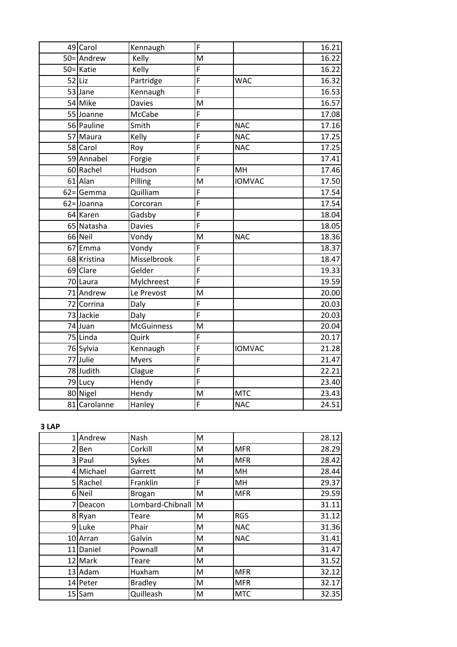| 49 Carol            | Kennaugh      | F |               | 16.21 |
|---------------------|---------------|---|---------------|-------|
| 50=Andrew           | Kelly         | M |               | 16.22 |
| 50=Katie            | Kelly         | F |               | 16.22 |
| $52$ Liz            | Partridge     | F | <b>WAC</b>    | 16.32 |
| 53 Jane             | Kennaugh      | F |               | 16.53 |
| 54 Mike             | <b>Davies</b> | M |               | 16.57 |
| 55 Joanne           | <b>McCabe</b> | F |               | 17.08 |
| 56 Pauline          | Smith         | F | <b>NAC</b>    | 17.16 |
| 57 Maura            | Kelly         | F | <b>NAC</b>    | 17.25 |
| 58 Carol            | Roy           | F | <b>NAC</b>    | 17.25 |
| 59 Annabel          | Forgie        | F |               | 17.41 |
| 60 Rachel           | Hudson        | F | MH            | 17.46 |
| 61 Alan             | Pilling       | M | <b>IOMVAC</b> | 17.50 |
| $62 = \text{Gamma}$ | Quilliam      | F |               | 17.54 |
| $62 =$ Joanna       | Corcoran      | F |               | 17.54 |
| 64 Karen            | Gadsby        | F |               | 18.04 |
| 65 Natasha          | <b>Davies</b> | F |               | 18.05 |
| 66 Neil             | Vondy         | M | <b>NAC</b>    | 18.36 |
| 67 Emma             | Vondy         | F |               | 18.37 |
| 68 Kristina         | Misselbrook   | F |               | 18.47 |
| 69 Clare            | Gelder        | F |               | 19.33 |
| 70 Laura            | Mylchreest    | F |               | 19.59 |
| 71 Andrew           | Le Prevost    | M |               | 20.00 |
| 72 Corrina          | Daly          | F |               | 20.03 |
| 73 Jackie           | Daly          | F |               | 20.03 |
| 74 Juan             | McGuinness    | M |               | 20.04 |
| 75 Linda            | Quirk         | F |               | 20.17 |
| 76 Sylvia           | Kennaugh      | F | <b>IOMVAC</b> | 21.28 |
| 77 Julie            | <b>Myers</b>  | F |               | 21.47 |
| 78 Judith           | Clague        | F |               | 22.21 |
| 79 Lucy             | Hendy         | F |               | 23.40 |
| 80 Nigel            | Hendy         | M | <b>MTC</b>    | 23.43 |
| 81 Carolanne        | Hanley        | F | <b>NAC</b>    | 24.51 |

## **3 LAP**

| 1 Andrew  | Nash             | M |            | 28.12 |
|-----------|------------------|---|------------|-------|
| 2 Ben     | Corkill          | M | <b>MFR</b> | 28.29 |
| 3 Paul    | Sykes            | M | <b>MFR</b> | 28.42 |
| 4 Michael | Garrett          | M | MH         | 28.44 |
| 5 Rachel  | Franklin         | F | MH         | 29.37 |
| 6 Neil    | <b>Brogan</b>    | M | <b>MFR</b> | 29.59 |
| 7 Deacon  | Lombard-Chibnall | M |            | 31.11 |
| 8 Ryan    | Teare            | M | <b>RGS</b> | 31.12 |
| 9Luke     | Phair            | M | <b>NAC</b> | 31.36 |
| 10 Arran  | Galvin           | M | <b>NAC</b> | 31.41 |
| 11 Daniel | Pownall          | M |            | 31.47 |
| 12 Mark   | Teare            | M |            | 31.52 |
| 13 Adam   | Huxham           | M | <b>MFR</b> | 32.12 |
| 14 Peter  | <b>Bradley</b>   | M | <b>MFR</b> | 32.17 |
| $15$ Sam  | Quilleash        | M | <b>MTC</b> | 32.35 |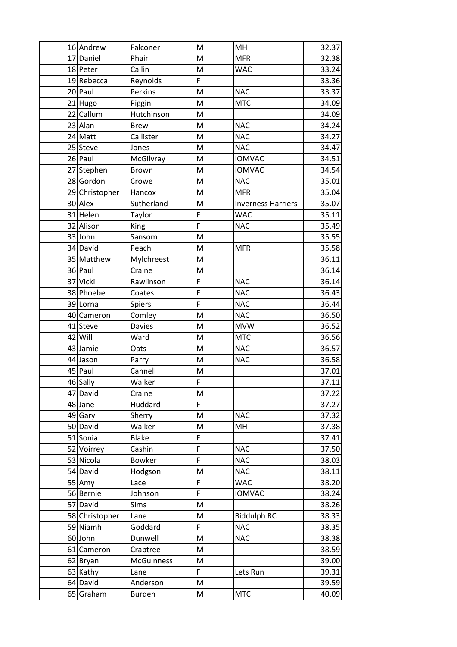| 16 Andrew             | Falconer          | M              | MH                        | 32.37 |
|-----------------------|-------------------|----------------|---------------------------|-------|
| 17 Daniel             | Phair             | M              | <b>MFR</b>                | 32.38 |
| 18 Peter              | Callin            | M              | <b>WAC</b>                | 33.24 |
| 19 Rebecca            | Reynolds          | F              |                           | 33.36 |
| 20 Paul               | Perkins           | M              | <b>NAC</b>                | 33.37 |
| 21 Hugo               | Piggin            | M              | <b>MTC</b>                | 34.09 |
| 22 Callum             | Hutchinson        | M              |                           | 34.09 |
| 23 Alan               | <b>Brew</b>       | M              | <b>NAC</b>                | 34.24 |
| 24 Matt               | Callister         | M              | <b>NAC</b>                | 34.27 |
| 25 Steve              | Jones             | M              | <b>NAC</b>                | 34.47 |
| 26 Paul               | McGilvray         | M              | <b>IOMVAC</b>             | 34.51 |
| 27 Stephen            | <b>Brown</b>      | M              | <b>IOMVAC</b>             | 34.54 |
| 28 Gordon             | Crowe             | M              | <b>NAC</b>                | 35.01 |
| 29 Christopher        | Hancox            | M              | <b>MFR</b>                | 35.04 |
| 30 Alex               | Sutherland        | M              | <b>Inverness Harriers</b> | 35.07 |
| 31 Helen              | Taylor            | F              | <b>WAC</b>                | 35.11 |
| 32 Alison             | King              | F              | <b>NAC</b>                | 35.49 |
| 33 John               | Sansom            | M              |                           | 35.55 |
| 34 David              | Peach             | M              | <b>MFR</b>                | 35.58 |
| 35 Matthew            | Mylchreest        | M              |                           | 36.11 |
| 36 Paul               | Craine            | M              |                           | 36.14 |
| 37 Vicki              | Rawlinson         | F              | <b>NAC</b>                | 36.14 |
| 38 Phoebe             | Coates            | F              | <b>NAC</b>                | 36.43 |
| 39 Lorna              | <b>Spiers</b>     | $\overline{F}$ | <b>NAC</b>                | 36.44 |
| 40 Cameron            | Comley            | M              | <b>NAC</b>                | 36.50 |
| 41 Steve              | <b>Davies</b>     | M              | <b>MVW</b>                | 36.52 |
| 42 Will               | Ward              | M              | <b>MTC</b>                | 36.56 |
| 43 Jamie              | Oats              | M              | <b>NAC</b>                | 36.57 |
| 44 Jason              | Parry             | M              | <b>NAC</b>                | 36.58 |
| 45 Paul               | Cannell           | M              |                           | 37.01 |
| $\overline{46}$ Sally | Walker            | $\overline{F}$ |                           | 37.11 |
| 47 David              | Craine            | M              |                           | 37.22 |
| 48 Jane               | Huddard           | F              |                           | 37.27 |
| 49 Gary               | Sherry            | M              | <b>NAC</b>                | 37.32 |
| 50 David              | Walker            | M              | MH                        | 37.38 |
| 51 Sonia              | <b>Blake</b>      | F              |                           | 37.41 |
| 52 Voirrey            | Cashin            | F              | <b>NAC</b>                | 37.50 |
| 53 Nicola             | <b>Bowker</b>     | F              | <b>NAC</b>                | 38.03 |
| 54 David              | Hodgson           | M              | <b>NAC</b>                | 38.11 |
| 55 Amy                | Lace              | F              | <b>WAC</b>                | 38.20 |
| 56 Bernie             | Johnson           | F              | <b>IOMVAC</b>             | 38.24 |
| 57 David              | Sims              | M              |                           | 38.26 |
| 58 Christopher        | Lane              | M              | <b>Biddulph RC</b>        | 38.33 |
| 59 Niamh              | Goddard           | F              | <b>NAC</b>                | 38.35 |
| 60 John               | Dunwell           | M              | <b>NAC</b>                | 38.38 |
| 61 Cameron            | Crabtree          | M              |                           | 38.59 |
| 62 Bryan              | <b>McGuinness</b> | M              |                           | 39.00 |
| 63 Kathy              | Lane              | F              | Lets Run                  | 39.31 |
| 64 David              | Anderson          | M              |                           | 39.59 |
| 65 Graham             | Burden            | M              | <b>MTC</b>                | 40.09 |
|                       |                   |                |                           |       |